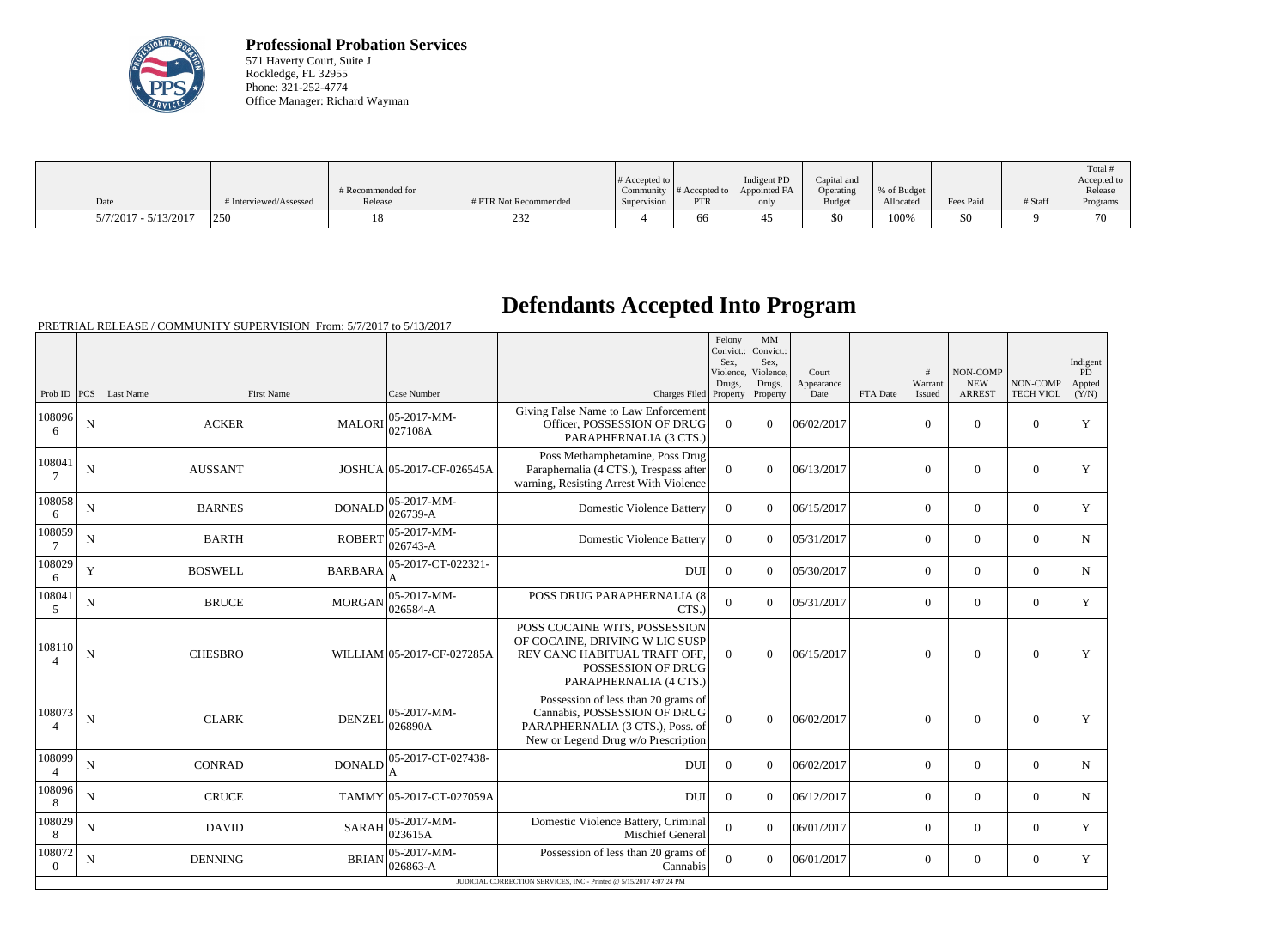

**Professional Probation Services** 571 Haverty Court, Suite J Rockledge, FL 32955 Phone: 321-252-4774 Office Manager: Richard Wayman

|                          |                        | # Recommended for |                       | # Accepted to $\vert$ |            | Indigent PD<br>Community $#$ Accepted to $ $ Appointed FA | Capital and<br>Operating | % of Budget |           |         | Total<br>Accepted to<br>Release |
|--------------------------|------------------------|-------------------|-----------------------|-----------------------|------------|-----------------------------------------------------------|--------------------------|-------------|-----------|---------|---------------------------------|
| Date                     | # Interviewed/Assessed | Release           | # PTR Not Recommended | Supervision           | <b>PTR</b> | only                                                      | <b>Budget</b>            | Allocated   | Fees Paid | # Staff | Programs                        |
| $ 5/7/2017 - 5/13/2017 $ | 250                    |                   | ∠ں∠                   |                       | 00         |                                                           | \$0                      | 100%        | \$0       |         | 70                              |

### **Defendants Accepted Into Program**

|                          |                |                |                   |                                |                                                                                                                                                 | Felony<br>Convict.:<br>Sex.<br>Violence,<br>Drugs, | MM<br>Convict.:<br>Sex.<br>Violence,<br>Drugs, | Court<br>Appearance |          | #<br>Warrant     | NON-COMP<br><b>NEW</b> | NON-COMP         | Indigent<br>PD<br>Appted |
|--------------------------|----------------|----------------|-------------------|--------------------------------|-------------------------------------------------------------------------------------------------------------------------------------------------|----------------------------------------------------|------------------------------------------------|---------------------|----------|------------------|------------------------|------------------|--------------------------|
| Prob ID $PCS$            |                | Last Name      | <b>First Name</b> | Case Number                    | Charges Filed Property                                                                                                                          |                                                    | Property                                       | Date                | FTA Date | Issued           | <b>ARREST</b>          | <b>TECH VIOL</b> | (Y/N)                    |
| 108096<br>6              | ${\bf N}$      | <b>ACKER</b>   | <b>MALORI</b>     | $ 05-2017-MM-$<br>027108A      | Giving False Name to Law Enforcement<br>Officer, POSSESSION OF DRUG<br>PARAPHERNALIA (3 CTS.)                                                   | $\theta$                                           | $\theta$                                       | 06/02/2017          |          | $\mathbf{0}$     | $\overline{0}$         | $\overline{0}$   | $\mathbf Y$              |
| 108041<br>7              | ${\bf N}$      | <b>AUSSANT</b> |                   | JOSHUA 05-2017-CF-026545A      | Poss Methamphetamine, Poss Drug<br>Paraphernalia (4 CTS.), Trespass after<br>warning, Resisting Arrest With Violence                            | $\theta$                                           | $\theta$                                       | 06/13/2017          |          | $\boldsymbol{0}$ | $\overline{0}$         | $\overline{0}$   | Y                        |
| 108058<br>6              | ${\bf N}$      | <b>BARNES</b>  | <b>DONALD</b>     | $05-2017-MM$ -<br>$026739 - A$ | <b>Domestic Violence Battery</b>                                                                                                                | $\theta$                                           | $\Omega$                                       | 06/15/2017          |          | $\theta$         | $\theta$               | $\boldsymbol{0}$ | Y                        |
| 108059                   | ${\bf N}$      | <b>BARTH</b>   | <b>ROBERT</b>     | $05-2017-MM$ -<br>$026743 - A$ | <b>Domestic Violence Battery</b>                                                                                                                | $\theta$                                           | $\Omega$                                       | 05/31/2017          |          | $\overline{0}$   | $\overline{0}$         | $\boldsymbol{0}$ | $\mathbf N$              |
| 108029<br>6              | $\mathbf Y$    | <b>BOSWELL</b> | <b>BARBARA</b>    | 05-2017-CT-022321-             | <b>DUI</b>                                                                                                                                      | $\overline{0}$                                     | $\theta$                                       | 05/30/2017          |          | $\overline{0}$   | $\mathbf{0}$           | $\mathbf{0}$     | $\mathbf N$              |
| 108041<br>.5             | $\mathbf N$    | <b>BRUCE</b>   | <b>MORGAN</b>     | $05-2017-MM$ -<br>$026584-A$   | POSS DRUG PARAPHERNALIA (8<br>CTS.)                                                                                                             | $\theta$                                           | $\theta$                                       | 05/31/2017          |          | $\theta$         | $\theta$               | $\theta$         | Y                        |
| 108110                   | $\overline{N}$ | <b>CHESBRO</b> |                   | WILLIAM 05-2017-CF-027285A     | POSS COCAINE WITS, POSSESSION<br>OF COCAINE, DRIVING W LIC SUSP<br>REV CANC HABITUAL TRAFF OFF,<br>POSSESSION OF DRUG<br>PARAPHERNALIA (4 CTS.) | $\Omega$                                           | $\theta$                                       | 06/15/2017          |          | $\theta$         | $\theta$               | $\mathbf{0}$     | Y                        |
| 108073<br>$\overline{A}$ | ${\bf N}$      | <b>CLARK</b>   | <b>DENZEL</b>     | $ 05-2017-MM-$<br>026890A      | Possession of less than 20 grams of<br>Cannabis, POSSESSION OF DRUG<br>PARAPHERNALIA (3 CTS.), Poss. of<br>New or Legend Drug w/o Prescription  | $\Omega$                                           | $\Omega$                                       | 06/02/2017          |          | $\Omega$         | $\theta$               | $\overline{0}$   | Y                        |
| 108099<br>$\overline{4}$ | $\mathbf N$    | <b>CONRAD</b>  | <b>DONALD</b>     | 05-2017-CT-027438-<br>А        | DUI                                                                                                                                             | $\overline{0}$                                     | $\Omega$                                       | 06/02/2017          |          | $\overline{0}$   | $\overline{0}$         | $\overline{0}$   | N                        |
| 108096<br>8              | N              | <b>CRUCE</b>   |                   | TAMMY 05-2017-CT-027059A       | <b>DUI</b>                                                                                                                                      | $\overline{0}$                                     | $\theta$                                       | 06/12/2017          |          | $\overline{0}$   | $\overline{0}$         | $\overline{0}$   | $\mathbf N$              |
| 108029<br>8              | ${\bf N}$      | <b>DAVID</b>   | <b>SARAH</b>      | $05-2017-MM$ -<br>023615A      | Domestic Violence Battery, Criminal<br><b>Mischief General</b>                                                                                  | $\overline{0}$                                     | $\theta$                                       | 06/01/2017          |          | $\overline{0}$   | $\overline{0}$         | $\mathbf{0}$     | Y                        |
| 108072<br>$\Omega$       | $\mathbf N$    | <b>DENNING</b> | <b>BRIAN</b>      | $05-2017-MM$ -<br>026863-A     | Possession of less than 20 grams of<br>Cannabis                                                                                                 | $\theta$                                           | $\theta$                                       | 06/01/2017          |          | $\theta$         | $\theta$               | $\theta$         | Y                        |
|                          |                |                |                   |                                | JUDICIAL CORRECTION SERVICES. INC - Printed @ 5/15/2017 4:07:24 PM                                                                              |                                                    |                                                |                     |          |                  |                        |                  |                          |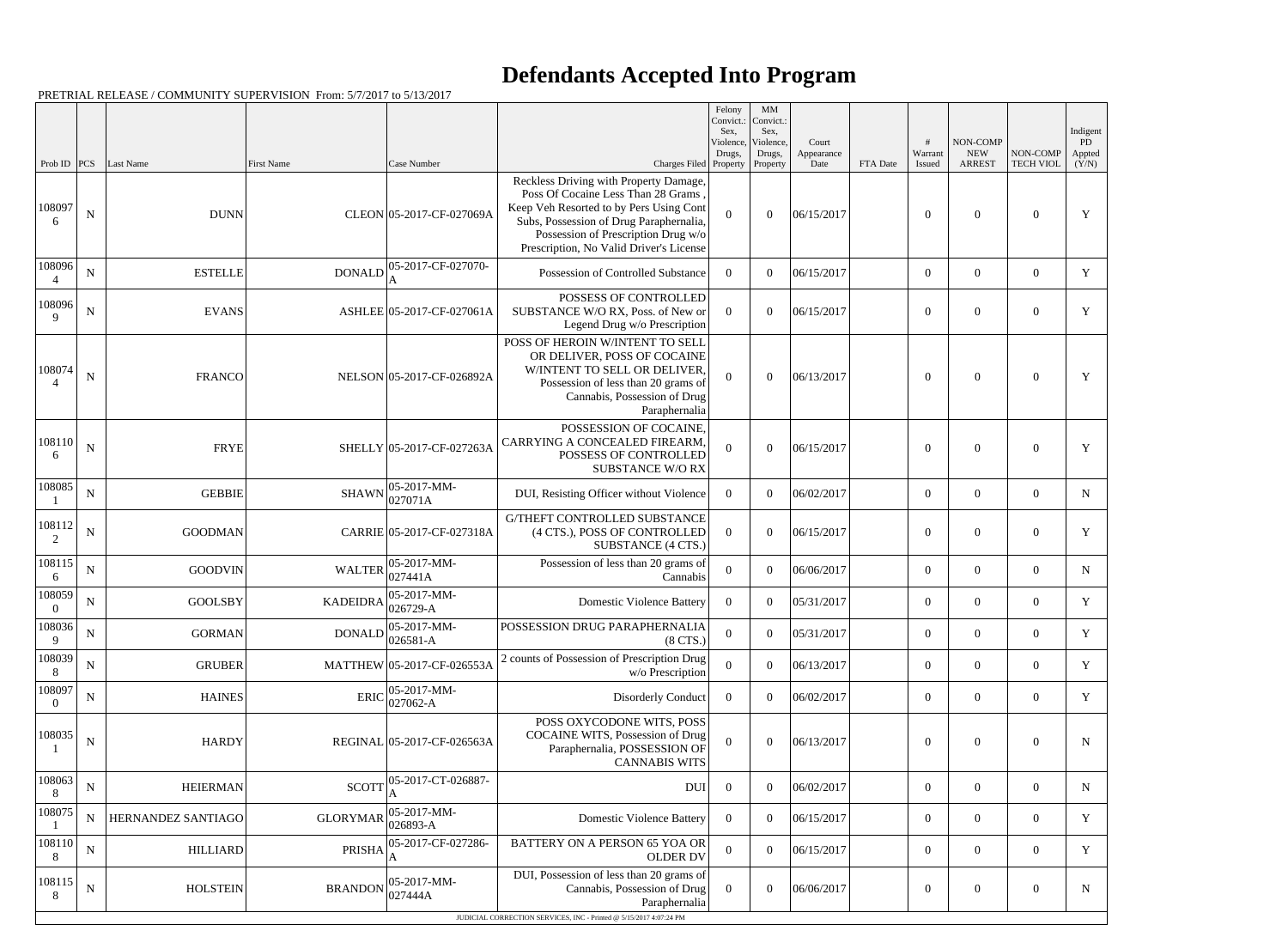|                          |             |                    |                   |                                                                     |                                                                                                                                                                                                                                                      | Felony<br>Convict.:<br>Sex.<br>Violence, | MM<br>Convict.:<br>Sex,<br>Violence, | Court              |          | #                 | NON-COMP                    |                              | Indigent<br>PD  |
|--------------------------|-------------|--------------------|-------------------|---------------------------------------------------------------------|------------------------------------------------------------------------------------------------------------------------------------------------------------------------------------------------------------------------------------------------------|------------------------------------------|--------------------------------------|--------------------|----------|-------------------|-----------------------------|------------------------------|-----------------|
| Prob ID                  | PCS         | Last Name          | <b>First Name</b> | Case Number                                                         | Charges Filed Property                                                                                                                                                                                                                               | Drugs,                                   | Drugs,<br>Property                   | Appearance<br>Date | FTA Date | Warrant<br>Issued | <b>NEW</b><br><b>ARREST</b> | NON-COMP<br><b>TECH VIOL</b> | Appted<br>(Y/N) |
| 108097<br>6              | $\mathbf N$ | <b>DUNN</b>        |                   | CLEON 05-2017-CF-027069A                                            | Reckless Driving with Property Damage,<br>Poss Of Cocaine Less Than 28 Grams<br>Keep Veh Resorted to by Pers Using Cont<br>Subs, Possession of Drug Paraphernalia,<br>Possession of Prescription Drug w/o<br>Prescription, No Valid Driver's License | $\Omega$                                 | $\Omega$                             | 06/15/2017         |          | $\Omega$          | $\boldsymbol{0}$            | $\theta$                     | Y               |
| 108096                   | ${\bf N}$   | <b>ESTELLE</b>     | <b>DONALD</b>     | 05-2017-CF-027070-<br>A                                             | Possession of Controlled Substance                                                                                                                                                                                                                   | $\Omega$                                 | $\theta$                             | 06/15/2017         |          | $\overline{0}$    | $\overline{0}$              | $\theta$                     | Y               |
| 108096<br>9              | $\mathbf N$ | <b>EVANS</b>       |                   | ASHLEE 05-2017-CF-027061A                                           | POSSESS OF CONTROLLED<br>SUBSTANCE W/O RX, Poss. of New or<br>Legend Drug w/o Prescription                                                                                                                                                           | $\Omega$                                 | $\Omega$                             | 06/15/2017         |          | $\boldsymbol{0}$  | $\overline{0}$              | $\overline{0}$               | Y               |
| 108074<br>$\overline{A}$ | ${\bf N}$   | <b>FRANCO</b>      |                   | NELSON 05-2017-CF-026892A                                           | POSS OF HEROIN W/INTENT TO SELL<br>OR DELIVER, POSS OF COCAINE<br>W/INTENT TO SELL OR DELIVER.<br>Possession of less than 20 grams of<br>Cannabis, Possession of Drug<br>Paraphernalia                                                               | $\Omega$                                 | $\theta$                             | 06/13/2017         |          | $\theta$          | $\overline{0}$              | $\theta$                     | Y               |
| 108110<br>6              | ${\bf N}$   | <b>FRYE</b>        |                   | SHELLY 05-2017-CF-027263A                                           | POSSESSION OF COCAINE,<br>CARRYING A CONCEALED FIREARM.<br>POSSESS OF CONTROLLED<br><b>SUBSTANCE W/O RX</b>                                                                                                                                          | $\Omega$                                 | $\theta$                             | 06/15/2017         |          | $\theta$          | $\overline{0}$              | $\theta$                     | Y               |
| 108085                   | ${\bf N}$   | <b>GEBBIE</b>      | <b>SHAWN</b>      | $05-2017-MM$ -<br>027071A                                           | DUI, Resisting Officer without Violence                                                                                                                                                                                                              | $\overline{0}$                           | $\theta$                             | 06/02/2017         |          | $\overline{0}$    | $\overline{0}$              | $\overline{0}$               | $\mathbf N$     |
| 108112<br>2              | $\mathbf N$ | <b>GOODMAN</b>     |                   | CARRIE 05-2017-CF-027318A                                           | G/THEFT CONTROLLED SUBSTANCE<br>(4 CTS.), POSS OF CONTROLLED<br>SUBSTANCE (4 CTS.)                                                                                                                                                                   | $\theta$                                 | $\theta$                             | 06/15/2017         |          | $\overline{0}$    | $\overline{0}$              | $\theta$                     | Y               |
| 108115<br>6              | ${\bf N}$   | <b>GOODVIN</b>     | <b>WALTER</b>     | $ 05-2017-MM-$<br> 027441A                                          | Possession of less than 20 grams of<br>Cannabis                                                                                                                                                                                                      | $\Omega$                                 | $\theta$                             | 06/06/2017         |          | $\overline{0}$    | $\overline{0}$              | $\overline{0}$               | N               |
| 108059<br>$\overline{0}$ | ${\bf N}$   | <b>GOOLSBY</b>     | <b>KADEIDRA</b>   | $05-2017-MM$ -<br>$ 026729 - A$                                     | <b>Domestic Violence Battery</b>                                                                                                                                                                                                                     | $\overline{0}$                           | $\overline{0}$                       | 05/31/2017         |          | $\overline{0}$    | $\overline{0}$              | $\overline{0}$               | Y               |
| 108036<br>9              | ${\bf N}$   | <b>GORMAN</b>      |                   | DONALD $\begin{bmatrix} 05 - 2017 - MM \\ 026581 - A \end{bmatrix}$ | POSSESSION DRUG PARAPHERNALIA<br>$(8$ CTS.)                                                                                                                                                                                                          | $\overline{0}$                           | $\boldsymbol{0}$                     | 05/31/2017         |          | $\mathbf{0}$      | $\boldsymbol{0}$            | $\overline{0}$               | Y               |
| 108039<br>8              | ${\bf N}$   | <b>GRUBER</b>      |                   | MATTHEW 05-2017-CF-026553A                                          | 2 counts of Possession of Prescription Drug<br>w/o Prescription                                                                                                                                                                                      | $\theta$                                 | $\theta$                             | 06/13/2017         |          | $\overline{0}$    | $\overline{0}$              | $\overline{0}$               | Y               |
| 108097<br>$\Omega$       | $\mathbf N$ | <b>HAINES</b>      | <b>ERIC</b>       | $05-2017-MM$ -<br>$027062-A$                                        | <b>Disorderly Conduct</b>                                                                                                                                                                                                                            | $\Omega$                                 | $\theta$                             | 06/02/2017         |          | $\overline{0}$    | $\mathbf{0}$                | $\overline{0}$               | Y               |
| 108035                   | ${\bf N}$   | <b>HARDY</b>       |                   | REGINAL 05-2017-CF-026563A                                          | POSS OXYCODONE WITS, POSS<br>COCAINE WITS, Possession of Drug<br>Paraphernalia, POSSESSION OF<br><b>CANNABIS WITS</b>                                                                                                                                | $\Omega$                                 | $\theta$                             | 06/13/2017         |          | $\overline{0}$    | $\boldsymbol{0}$            | $\overline{0}$               | N               |
| 108063<br>8              | ${\bf N}$   | <b>HEIERMAN</b>    | <b>SCOTT</b>      | 05-2017-CT-026887-                                                  | <b>DUI</b>                                                                                                                                                                                                                                           | $\overline{0}$                           | $\overline{0}$                       | 06/02/2017         |          | $\overline{0}$    | $\overline{0}$              | $\overline{0}$               | N               |
| 108075                   | $\mathbf N$ | HERNANDEZ SANTIAGO | <b>GLORYMAR</b>   | $05-2017-MM$ -<br>$026893 - A$                                      | <b>Domestic Violence Battery</b>                                                                                                                                                                                                                     | $\overline{0}$                           | $\boldsymbol{0}$                     | 06/15/2017         |          | $\overline{0}$    | $\overline{0}$              | $\overline{0}$               | Y               |
| 108110<br>8              | ${\bf N}$   | <b>HILLIARD</b>    | PRISHA            | 05-2017-CF-027286-                                                  | BATTERY ON A PERSON 65 YOA OR<br><b>OLDER DV</b>                                                                                                                                                                                                     | $\overline{0}$                           | $\overline{0}$                       | 06/15/2017         |          | $\overline{0}$    | $\overline{0}$              | $\overline{0}$               | Y               |
| 108115<br>8              | ${\bf N}$   | <b>HOLSTEIN</b>    | <b>BRANDON</b>    | $ 05-2017-MM-$<br>027444A                                           | DUI, Possession of less than 20 grams of<br>Cannabis, Possession of Drug<br>Paraphernalia                                                                                                                                                            | $\overline{0}$                           | $\theta$                             | 06/06/2017         |          | $\boldsymbol{0}$  | $\mathbf{0}$                | $\overline{0}$               | N               |
|                          |             |                    |                   |                                                                     | JUDICIAL CORRECTION SERVICES, INC - Printed @ 5/15/2017 4:07:24 PM                                                                                                                                                                                   |                                          |                                      |                    |          |                   |                             |                              |                 |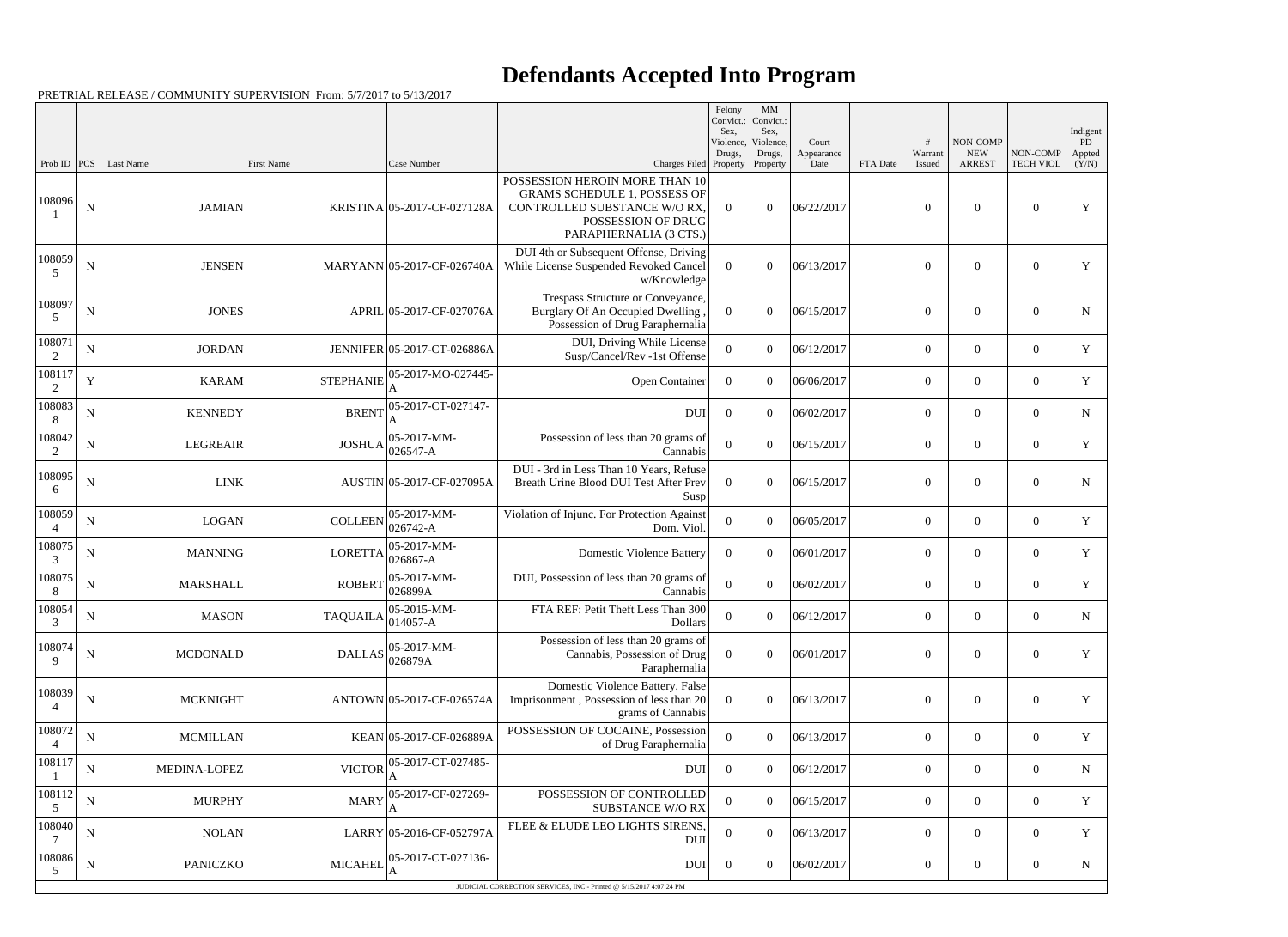|                          |             |                 |                                   |                              |                                                                                                                                                       | Felony<br>Convict.:<br>Sex, | MM<br>Convict.:<br>Sex,         |                             |          |                   |                                         |                              | Indigent              |
|--------------------------|-------------|-----------------|-----------------------------------|------------------------------|-------------------------------------------------------------------------------------------------------------------------------------------------------|-----------------------------|---------------------------------|-----------------------------|----------|-------------------|-----------------------------------------|------------------------------|-----------------------|
| Prob ID $ PCS $          |             | Last Name       | First Name                        | Case Number                  | Charges Filed Property                                                                                                                                | Violence,<br>Drugs,         | Violence.<br>Drugs,<br>Property | Court<br>Appearance<br>Date | FTA Date | Warrant<br>Issued | NON-COMP<br><b>NEW</b><br><b>ARREST</b> | NON-COMP<br><b>TECH VIOL</b> | PD<br>Appted<br>(Y/N) |
| 108096                   | N           | <b>JAMIAN</b>   |                                   | KRISTINA 05-2017-CF-027128A  | POSSESSION HEROIN MORE THAN 10<br><b>GRAMS SCHEDULE 1, POSSESS OF</b><br>CONTROLLED SUBSTANCE W/O RX,<br>POSSESSION OF DRUG<br>PARAPHERNALIA (3 CTS.) | $\theta$                    | $\boldsymbol{0}$                | 06/22/2017                  |          | $\overline{0}$    | $\overline{0}$                          | $\mathbf{0}$                 | Y                     |
| 108059<br>5              | $\mathbf N$ | <b>JENSEN</b>   |                                   | MARYANN 05-2017-CF-026740A   | DUI 4th or Subsequent Offense, Driving<br>While License Suspended Revoked Cancel<br>w/Knowledge                                                       | $\Omega$                    | $\boldsymbol{0}$                | 06/13/2017                  |          | $\boldsymbol{0}$  | $\overline{0}$                          | $\overline{0}$               | Y                     |
| 108097<br>.5             | ${\bf N}$   | <b>JONES</b>    |                                   | APRIL 05-2017-CF-027076A     | Trespass Structure or Conveyance,<br>Burglary Of An Occupied Dwelling<br>Possession of Drug Paraphernalia                                             | $\Omega$                    | $\theta$                        | 06/15/2017                  |          | $\boldsymbol{0}$  | $\overline{0}$                          | $\overline{0}$               | N                     |
| 108071<br>2              | ${\bf N}$   | <b>JORDAN</b>   |                                   | JENNIFER 05-2017-CT-026886A  | DUI, Driving While License<br>Susp/Cancel/Rev -1st Offense                                                                                            | $\theta$                    | $\theta$                        | 06/12/2017                  |          | $\overline{0}$    | $\overline{0}$                          | $\overline{0}$               | Y                     |
| 108117<br>2              | $\mathbf Y$ | <b>KARAM</b>    | <b>STEPHANIE</b>                  | 05-2017-MO-027445-           | Open Container                                                                                                                                        | $\overline{0}$              | $\theta$                        | 06/06/2017                  |          | $\overline{0}$    | $\overline{0}$                          | $\overline{0}$               | Y                     |
| 108083<br>8              | ${\bf N}$   | <b>KENNEDY</b>  | <b>BRENT</b>                      | 05-2017-CT-027147-           | <b>DUI</b>                                                                                                                                            | $\overline{0}$              | $\theta$                        | 06/02/2017                  |          | $\overline{0}$    | $\overline{0}$                          | $\overline{0}$               | N                     |
| 108042<br>2              | ${\bf N}$   | <b>LEGREAIR</b> | <b>JOSHUA</b>                     | 05-2017-MM-<br>$026547 - A$  | Possession of less than 20 grams of<br>Cannabis                                                                                                       | $\Omega$                    | $\theta$                        | 06/15/2017                  |          | $\overline{0}$    | $\overline{0}$                          | $\overline{0}$               | Y                     |
| 108095<br>6              | $\mathbf N$ | <b>LINK</b>     |                                   | AUSTIN 05-2017-CF-027095A    | DUI - 3rd in Less Than 10 Years, Refuse<br>Breath Urine Blood DUI Test After Prev<br>Susp                                                             | $\Omega$                    | $\theta$                        | 06/15/2017                  |          | $\boldsymbol{0}$  | $\overline{0}$                          | $\overline{0}$               | N                     |
| 108059                   | ${\bf N}$   | <b>LOGAN</b>    | <b>COLLEEN</b>                    | 05-2017-MM-<br>$026742 - A$  | Violation of Injunc. For Protection Against<br>Dom. Viol.                                                                                             | $\Omega$                    | $\boldsymbol{0}$                | 06/05/2017                  |          | $\overline{0}$    | $\boldsymbol{0}$                        | $\overline{0}$               | Y                     |
| 108075<br>3              | ${\bf N}$   | <b>MANNING</b>  | <b>LORETTA</b>                    | 05-2017-MM-<br>$026867 - A$  | <b>Domestic Violence Battery</b>                                                                                                                      | $\Omega$                    | $\theta$                        | 06/01/2017                  |          | $\overline{0}$    | $\overline{0}$                          | $\overline{0}$               | Y                     |
| 108075<br>8              | N           | <b>MARSHALL</b> | <b>ROBERT</b>                     | 05-2017-MM-<br>026899A       | DUI, Possession of less than 20 grams of<br>Cannabis                                                                                                  | $\Omega$                    | $\theta$                        | 06/02/2017                  |          | $\overline{0}$    | $\overline{0}$                          | $\overline{0}$               | Y                     |
| 108054<br>3              | ${\bf N}$   | <b>MASON</b>    | <b>TAQUAILA</b>                   | 05-2015-MM-<br>$ 014057 - A$ | FTA REF: Petit Theft Less Than 300<br>Dollars                                                                                                         | $\overline{0}$              | $\overline{0}$                  | 06/12/2017                  |          | $\boldsymbol{0}$  | $\overline{0}$                          | $\overline{0}$               | N                     |
| 108074<br>$\mathbf{Q}$   | $\mathbf N$ | <b>MCDONALD</b> | DALLAS $\bigg _{026879A}^{\circ}$ | $ 05-2017-MM-$               | Possession of less than 20 grams of<br>Cannabis, Possession of Drug<br>Paraphernalia                                                                  | $\overline{0}$              | $\boldsymbol{0}$                | 06/01/2017                  |          | $\boldsymbol{0}$  | $\boldsymbol{0}$                        | $\boldsymbol{0}$             | Y                     |
| 108039<br>$\overline{4}$ | $\mathbf N$ | <b>MCKNIGHT</b> |                                   | ANTOWN 05-2017-CF-026574A    | Domestic Violence Battery, False<br>Imprisonment, Possession of less than 20<br>grams of Cannabis                                                     | $\theta$                    | $\boldsymbol{0}$                | 06/13/2017                  |          | $\boldsymbol{0}$  | $\boldsymbol{0}$                        | $\boldsymbol{0}$             | Y                     |
| 108072                   | ${\bf N}$   | <b>MCMILLAN</b> |                                   | KEAN 05-2017-CF-026889A      | POSSESSION OF COCAINE, Possession<br>of Drug Paraphernalia                                                                                            | $\Omega$                    | $\boldsymbol{0}$                | 06/13/2017                  |          | $\overline{0}$    | $\boldsymbol{0}$                        | $\overline{0}$               | Y                     |
| 108117                   | ${\bf N}$   | MEDINA-LOPEZ    | <b>VICTOR</b>                     | 05-2017-CT-027485-           | <b>DUI</b>                                                                                                                                            | $\overline{0}$              | $\boldsymbol{0}$                | 06/12/2017                  |          | $\boldsymbol{0}$  | $\boldsymbol{0}$                        | $\overline{0}$               | N                     |
| 108112<br>5              | ${\bf N}$   | <b>MURPHY</b>   | <b>MARY</b>                       | 05-2017-CF-027269-           | POSSESSION OF CONTROLLED<br><b>SUBSTANCE W/O RX</b>                                                                                                   | $\overline{0}$              | $\boldsymbol{0}$                | 06/15/2017                  |          | $\boldsymbol{0}$  | $\boldsymbol{0}$                        | $\overline{0}$               | Y                     |
| 108040                   | ${\bf N}$   | <b>NOLAN</b>    |                                   | LARRY 05-2016-CF-052797A     | FLEE & ELUDE LEO LIGHTS SIRENS.<br><b>DUI</b>                                                                                                         | $\boldsymbol{0}$            | $\boldsymbol{0}$                | 06/13/2017                  |          | $\overline{0}$    | $\boldsymbol{0}$                        | $\overline{0}$               | Y                     |
| 108086<br>5              | $\mathbf N$ | <b>PANICZKO</b> | <b>MICAHEL</b>                    | 05-2017-CT-027136-           | DUI                                                                                                                                                   | $\overline{0}$              | $\overline{0}$                  | 06/02/2017                  |          | $\boldsymbol{0}$  | $\boldsymbol{0}$                        | $\overline{0}$               | $N_{\rm}$             |
|                          |             |                 |                                   |                              | JUDICIAL CORRECTION SERVICES, INC - Printed @ 5/15/2017 4:07:24 PM                                                                                    |                             |                                 |                             |          |                   |                                         |                              |                       |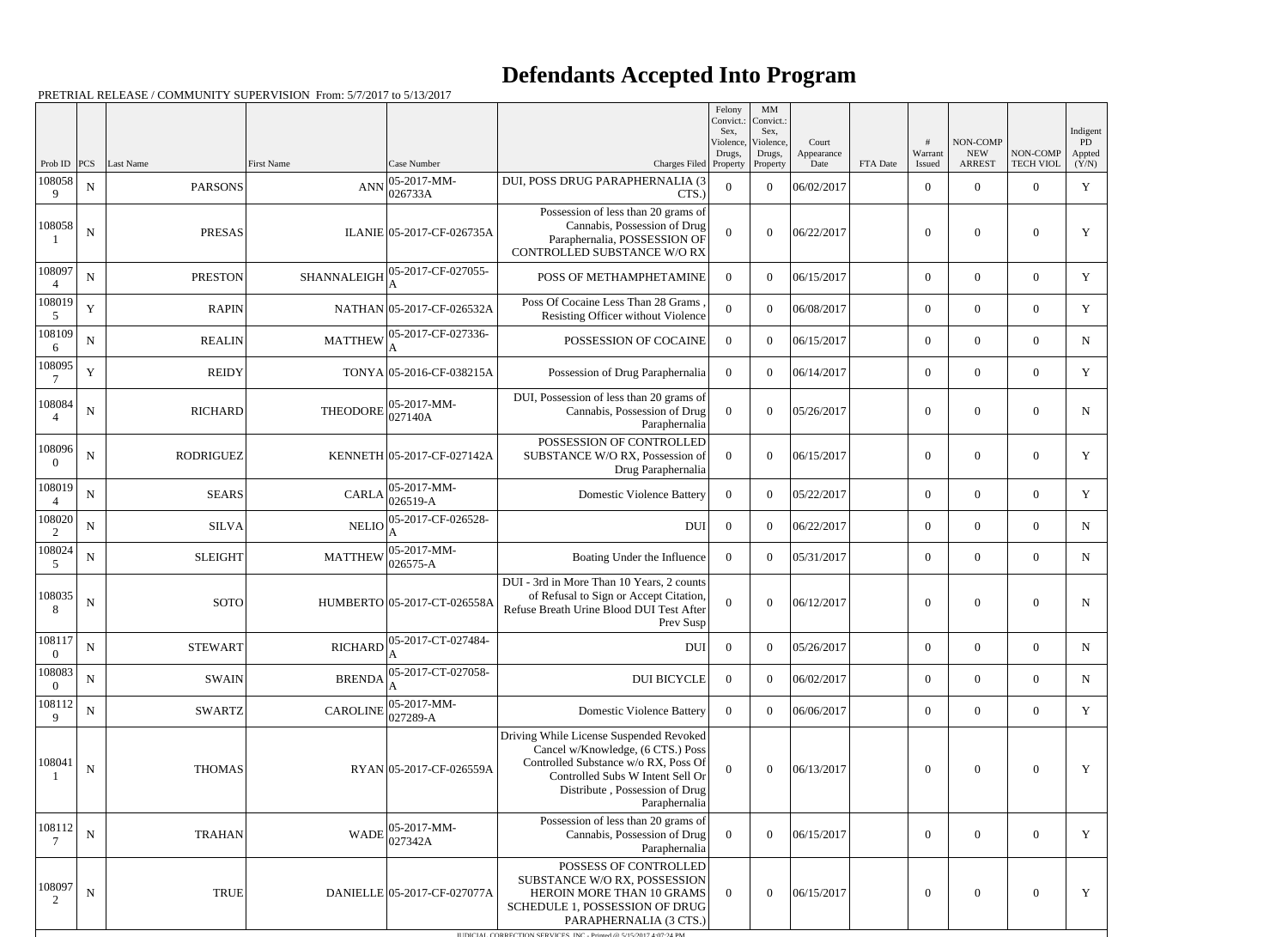| Prob ID                  | PCS         | Last Name        | <b>First Name</b> | Case Number                     | Charges Filed Property                                                                                                                                                                                               | Felony<br>Convict.:<br>Sex,<br>Violence,<br>Drugs, | $\mathbf{M}\mathbf{M}$<br>Convict.:<br>Sex,<br>Violence,<br>Drugs,<br>Property | Court<br>Appearance<br>Date | FTA Date | Warrant<br>Issued | NON-COMP<br><b>NEW</b><br><b>ARREST</b> | NON-COMP<br><b>TECH VIOL</b> | Indigent<br>PD<br>Appted<br>(Y/N) |
|--------------------------|-------------|------------------|-------------------|---------------------------------|----------------------------------------------------------------------------------------------------------------------------------------------------------------------------------------------------------------------|----------------------------------------------------|--------------------------------------------------------------------------------|-----------------------------|----------|-------------------|-----------------------------------------|------------------------------|-----------------------------------|
| 108058<br>9              | ${\bf N}$   | <b>PARSONS</b>   | <b>ANN</b>        | $ 05 - 2017 - MM -$<br>026733A  | DUI, POSS DRUG PARAPHERNALIA (3<br>CTS.                                                                                                                                                                              | $\mathbf{0}$                                       | $\overline{0}$                                                                 | 06/02/2017                  |          | $\overline{0}$    | $\Omega$                                | $\overline{0}$               | Y                                 |
| 108058                   | ${\bf N}$   | <b>PRESAS</b>    |                   | ILANIE 05-2017-CF-026735A       | Possession of less than 20 grams of<br>Cannabis, Possession of Drug<br>Paraphernalia, POSSESSION OF<br>CONTROLLED SUBSTANCE W/O RX                                                                                   | $\theta$                                           | $\Omega$                                                                       | 06/22/2017                  |          | $\Omega$          | $\Omega$                                | $\overline{0}$               | Y                                 |
| 108097<br>$\overline{4}$ | ${\bf N}$   | <b>PRESTON</b>   | SHANNALEIGH       | 05-2017-CF-027055-<br>ΙA        | POSS OF METHAMPHETAMINE                                                                                                                                                                                              | $\theta$                                           | $\theta$                                                                       | 06/15/2017                  |          | $\theta$          | $\theta$                                | $\overline{0}$               | Y                                 |
| 108019<br>5              | $\mathbf Y$ | <b>RAPIN</b>     |                   | NATHAN 05-2017-CF-026532A       | Poss Of Cocaine Less Than 28 Grams<br>Resisting Officer without Violence                                                                                                                                             | $\overline{0}$                                     | $\theta$                                                                       | 06/08/2017                  |          | $\overline{0}$    | $\mathbf{0}$                            | $\overline{0}$               | $\mathbf Y$                       |
| 108109<br>6              | ${\bf N}$   | <b>REALIN</b>    | <b>MATTHEW</b>    | 05-2017-CF-027336-              | POSSESSION OF COCAINE                                                                                                                                                                                                | $\boldsymbol{0}$                                   | $\theta$                                                                       | 06/15/2017                  |          | $\overline{0}$    | $\theta$                                | $\overline{0}$               | N                                 |
| 108095                   | $\mathbf Y$ | <b>REIDY</b>     |                   | TONYA 05-2016-CF-038215A        | Possession of Drug Paraphernalia                                                                                                                                                                                     | $\overline{0}$                                     | $\theta$                                                                       | 06/14/2017                  |          | $\overline{0}$    | $\overline{0}$                          | $\overline{0}$               | $\mathbf Y$                       |
| 108084<br>$\overline{A}$ | ${\bf N}$   | <b>RICHARD</b>   | <b>THEODORE</b>   | $ 05 - 2017 - MM -$<br>027140A  | DUI, Possession of less than 20 grams of<br>Cannabis, Possession of Drug<br>Paraphernalia                                                                                                                            | $\mathbf{0}$                                       | $\Omega$                                                                       | 05/26/2017                  |          | $\theta$          | $\mathbf{0}$                            | $\overline{0}$               | ${\bf N}$                         |
| 108096                   | $\mathbf N$ | <b>RODRIGUEZ</b> |                   | KENNETH 05-2017-CF-027142A      | POSSESSION OF CONTROLLED<br>SUBSTANCE W/O RX, Possession of<br>Drug Paraphernalia                                                                                                                                    | $\overline{0}$                                     | $\Omega$                                                                       | 06/15/2017                  |          | $\theta$          | $\mathbf{0}$                            | $\overline{0}$               | Y                                 |
| 108019                   | ${\bf N}$   | <b>SEARS</b>     | <b>CARLA</b>      | $ 05-2017-MM-$<br>$ 026519 - A$ | <b>Domestic Violence Battery</b>                                                                                                                                                                                     | $\mathbf{0}$                                       | $\theta$                                                                       | 05/22/2017                  |          | $\overline{0}$    | $\overline{0}$                          | $\overline{0}$               | Y                                 |
| 108020<br>2              | $\mathbf N$ | <b>SILVA</b>     | <b>NELIO</b>      | 05-2017-CF-026528-              | <b>DUI</b>                                                                                                                                                                                                           | $\overline{0}$                                     | $\overline{0}$                                                                 | 06/22/2017                  |          | $\overline{0}$    | $\overline{0}$                          | $\overline{0}$               | $\mathbf N$                       |
| 108024<br>5              | ${\bf N}$   | <b>SLEIGHT</b>   | <b>MATTHEW</b>    | $ 05-2017-MM-$<br>$ 026575 - A$ | Boating Under the Influence                                                                                                                                                                                          | $\boldsymbol{0}$                                   | $\theta$                                                                       | 05/31/2017                  |          | $\overline{0}$    | $\overline{0}$                          | $\overline{0}$               | $\mathbf N$                       |
| 108035                   | ${\bf N}$   | <b>SOTO</b>      |                   | HUMBERTO 05-2017-CT-026558A     | DUI - 3rd in More Than 10 Years, 2 counts<br>of Refusal to Sign or Accept Citation,<br>Refuse Breath Urine Blood DUI Test After<br>Prev Susp                                                                         | $\theta$                                           | $\theta$                                                                       | 06/12/2017                  |          | $\overline{0}$    | $\theta$                                | $\overline{0}$               | $\mathbf N$                       |
| 108117<br>$\Omega$       | ${\bf N}$   | <b>STEWART</b>   | <b>RICHARD</b>    | 05-2017-CT-027484-<br>A         | DUI                                                                                                                                                                                                                  | $\boldsymbol{0}$                                   | $\theta$                                                                       | 05/26/2017                  |          | $\mathbf{0}$      | $\overline{0}$                          | $\overline{0}$               | $\mathbf N$                       |
| 108083<br>$\Omega$       | ${\bf N}$   | <b>SWAIN</b>     | <b>BRENDA</b>     | 05-2017-CT-027058-<br>A         | <b>DUI BICYCLE</b>                                                                                                                                                                                                   | $\boldsymbol{0}$                                   | $\overline{0}$                                                                 | 06/02/2017                  |          | $\overline{0}$    | $\overline{0}$                          | $\overline{0}$               | $\mathbf N$                       |
| 108112<br>9              | ${\bf N}$   | <b>SWARTZ</b>    | <b>CAROLINE</b>   | $ 05-2017-MM-$<br>$ 027289-A$   | <b>Domestic Violence Battery</b>                                                                                                                                                                                     | $\overline{0}$                                     | $\Omega$                                                                       | 06/06/2017                  |          | $\overline{0}$    | $\overline{0}$                          | $\overline{0}$               | Y                                 |
| 108041                   | ${\bf N}$   | <b>THOMAS</b>    |                   | RYAN 05-2017-CF-026559A         | Driving While License Suspended Revoked<br>Cancel w/Knowledge, (6 CTS.) Poss<br>Controlled Substance w/o RX, Poss Of<br>Controlled Subs W Intent Sell Or<br>Distribute, Possession of Drug<br>Paraphernalia          | $\overline{0}$                                     | $\theta$                                                                       | 06/13/2017                  |          | $\overline{0}$    | $\mathbf{0}$                            | $\boldsymbol{0}$             | Y                                 |
| 108112<br>7              | ${\bf N}$   | <b>TRAHAN</b>    | WADE              | $ 05-2017-MM-$<br>027342A       | Possession of less than 20 grams of<br>Cannabis, Possession of Drug<br>Paraphernalia                                                                                                                                 | $\boldsymbol{0}$                                   | $\overline{0}$                                                                 | 06/15/2017                  |          | $\overline{0}$    | $\mathbf{0}$                            | $\overline{0}$               | Y                                 |
| 108097<br>2              | ${\bf N}$   | <b>TRUE</b>      |                   | DANIELLE 05-2017-CF-027077A     | POSSESS OF CONTROLLED<br>SUBSTANCE W/O RX, POSSESSION<br>HEROIN MORE THAN 10 GRAMS<br>SCHEDULE 1, POSSESSION OF DRUG<br>PARAPHERNALIA (3 CTS.)<br>IUDICIAL CORRECTION SERVICES, INC., Printed @ 5/15/2017 4:07:24 PM | $\theta$                                           | $\theta$                                                                       | 06/15/2017                  |          | $\mathbf{0}$      | $\overline{0}$                          | $\overline{0}$               | $\mathbf Y$                       |